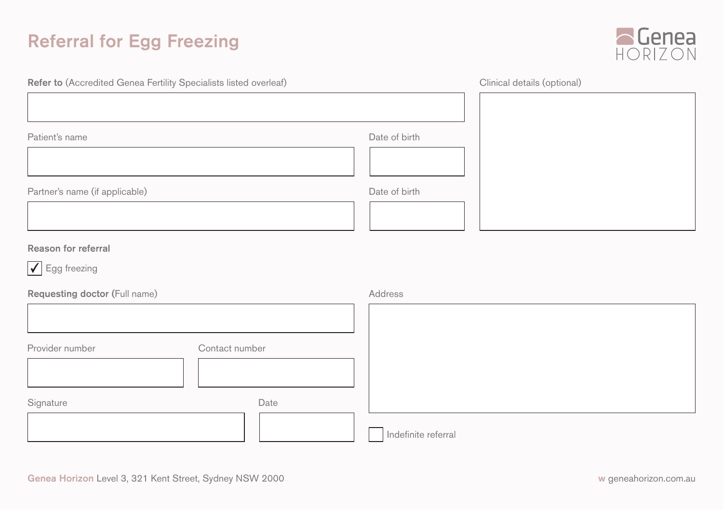## Referral for Egg Freezing



| Clinical details (optional) |
|-----------------------------|
|                             |
| Date of birth               |
|                             |
| Date of birth               |
|                             |
| Address                     |
|                             |
| Indefinite referral         |
|                             |